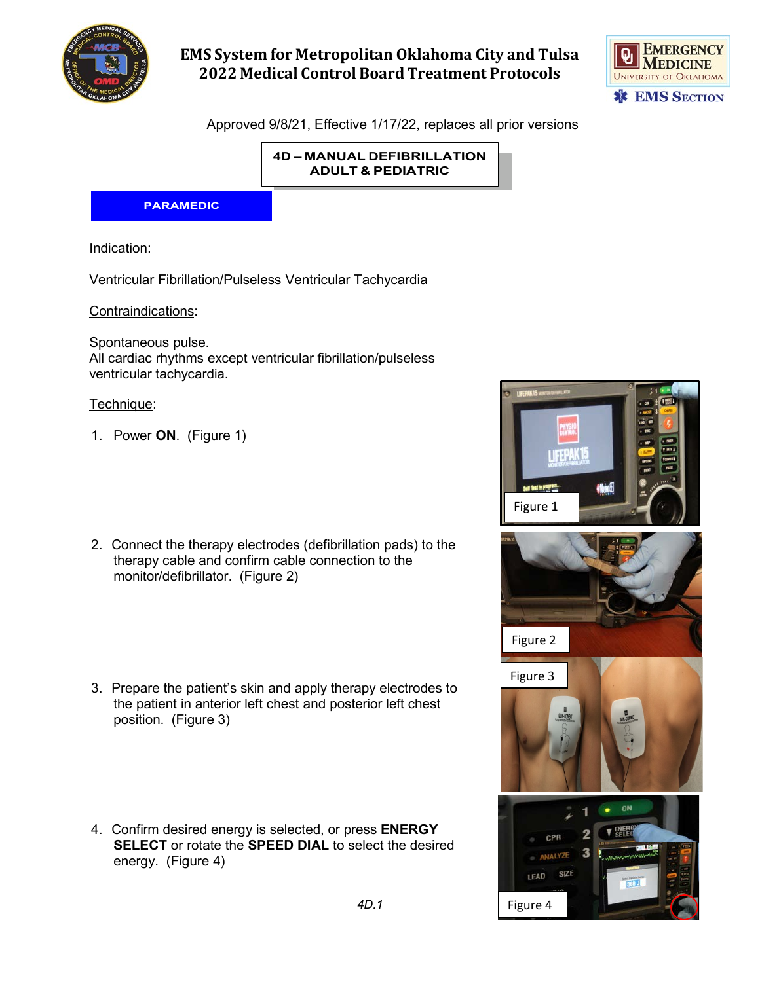

# **EMS System for Metropolitan Oklahoma City and Tulsa 2022 Medical Control Board Treatment Protocols**



Approved 9/8/21, Effective 1/17/22, replaces all prior versions

**4D – MANUAL DEFIBRILLATION ADULT & PEDIATRIC**

#### **PARAMEDIC**

Indication:

Ventricular Fibrillation/Pulseless Ventricular Tachycardia

Contraindications:

Spontaneous pulse. All cardiac rhythms except ventricular fibrillation/pulseless ventricular tachycardia.

#### Technique:

- 1. Power **ON**. (Figure 1)
- 2. Connect the therapy electrodes (defibrillation pads) to the therapy cable and confirm cable connection to the monitor/defibrillator. (Figure 2)
- 3. Prepare the patient's skin and apply therapy electrodes to the patient in anterior left chest and posterior left chest position. (Figure 3)
- 4. Confirm desired energy is selected, or press **ENERGY SELECT** or rotate the **SPEED DIAL** to select the desired energy. (Figure 4)